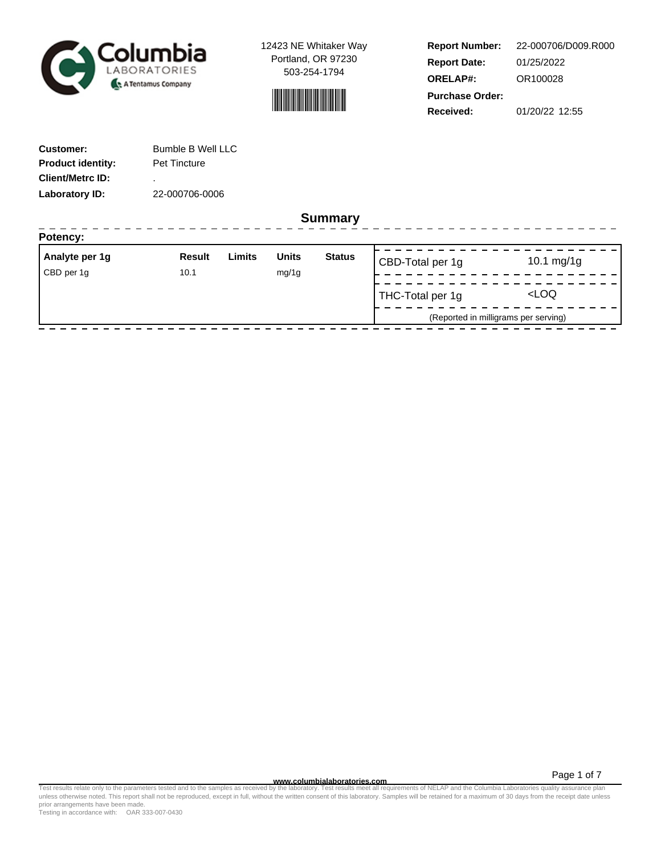



**Report Number: Report Date: ORELAP#:** 01/25/2022 OR100028 **Received:** 01/20/22 12:55 **Purchase Order:** 22-000706/D009.R000

| <b>Customer:</b>         | Bumble B Well LLC   |
|--------------------------|---------------------|
| <b>Product identity:</b> | <b>Pet Tincture</b> |
| <b>Client/Metrc ID:</b>  | ٠                   |
| Laboratory ID:           | 22-000706-0006      |

**Summary**

| Analyte per 1g | <b>Result</b> | Limits | <b>Units</b> | <b>Status</b> | CBD-Total per 1g | 10.1 $mg/1g$                         |
|----------------|---------------|--------|--------------|---------------|------------------|--------------------------------------|
| CBD per 1g     | 10.1          |        | mg/1g        |               |                  |                                      |
|                |               |        |              |               | THC-Total per 1g | LOO                                  |
|                |               |        |              |               |                  | (Reported in milligrams per serving) |

Page 1 of 7

www.columbialaboratories.com<br>Test results relate only to the parameters tested and to the samples as received by the laboratories metall requirements of NELAP and the Columbia Laboratories quality assurance plan<br>unless oth prior arrangements have been made.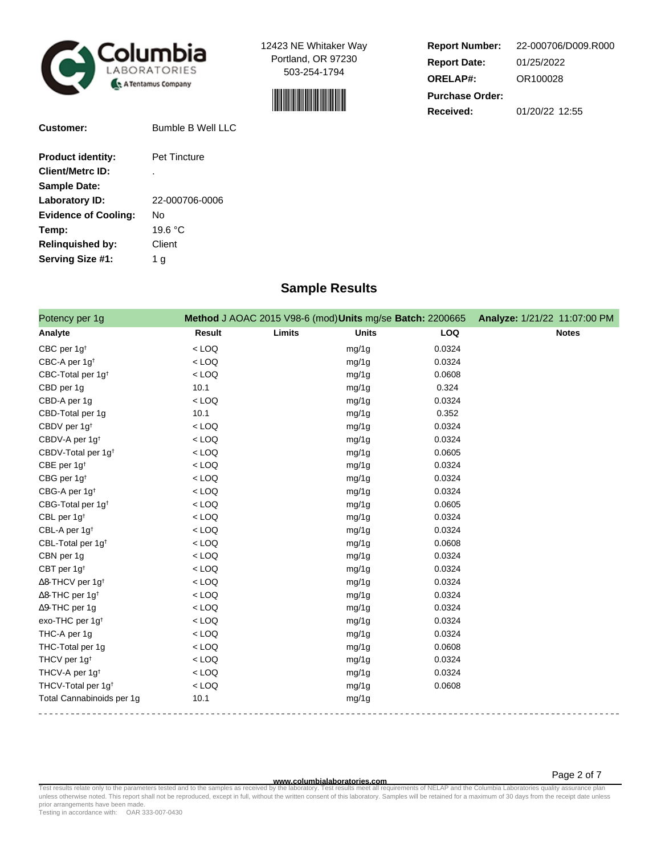



| <b>Report Number:</b>  | 22-000706/D009.R000 |  |  |  |
|------------------------|---------------------|--|--|--|
| <b>Report Date:</b>    | 01/25/2022          |  |  |  |
| <b>ORELAP#:</b>        | OR100028            |  |  |  |
| <b>Purchase Order:</b> |                     |  |  |  |
| <b>Received:</b>       | 01/20/22 12:55      |  |  |  |

| Customer:                   | Bumble B Well LLC   |
|-----------------------------|---------------------|
| <b>Product identity:</b>    | <b>Pet Tincture</b> |
| <b>Client/Metrc ID:</b>     | ٠                   |
| <b>Sample Date:</b>         |                     |
| Laboratory ID:              | 22-000706-0006      |
| <b>Evidence of Cooling:</b> | N٥                  |
| Temp:                       | 19.6 °C             |
| <b>Relinquished by:</b>     | Client              |
| Serving Size #1:            | 1 a                 |

# **Sample Results**

| Potency per 1g                      |               |        | Method J AOAC 2015 V98-6 (mod) Units mg/se Batch: 2200665 |        | Analyze: 1/21/22 11:07:00 PM |
|-------------------------------------|---------------|--------|-----------------------------------------------------------|--------|------------------------------|
| Analyte                             | <b>Result</b> | Limits | <b>Units</b>                                              | LOQ    | <b>Notes</b>                 |
| CBC per 1g <sup>t</sup>             | $<$ LOQ       |        | mg/1g                                                     | 0.0324 |                              |
| CBC-A per 1g <sup>t</sup>           | $<$ LOQ       |        | mg/1g                                                     | 0.0324 |                              |
| CBC-Total per 1g <sup>t</sup>       | $<$ LOQ       |        | mg/1g                                                     | 0.0608 |                              |
| CBD per 1g                          | 10.1          |        | mg/1g                                                     | 0.324  |                              |
| CBD-A per 1g                        | $<$ LOQ       |        | mg/1g                                                     | 0.0324 |                              |
| CBD-Total per 1g                    | 10.1          |        | mg/1g                                                     | 0.352  |                              |
| CBDV per 1g <sup>t</sup>            | $<$ LOQ       |        | mg/1g                                                     | 0.0324 |                              |
| CBDV-A per 1g <sup>t</sup>          | $<$ LOQ       |        | mg/1g                                                     | 0.0324 |                              |
| CBDV-Total per 1g <sup>+</sup>      | $<$ LOQ       |        | mg/1g                                                     | 0.0605 |                              |
| CBE per 1g <sup>t</sup>             | $<$ LOQ       |        | mg/1g                                                     | 0.0324 |                              |
| CBG per 1g <sup>t</sup>             | $<$ LOQ       |        | mg/1g                                                     | 0.0324 |                              |
| CBG-A per 1g <sup>t</sup>           | $<$ LOQ       |        | mg/1g                                                     | 0.0324 |                              |
| CBG-Total per 1g <sup>+</sup>       | $<$ LOQ       |        | mg/1g                                                     | 0.0605 |                              |
| CBL per 1g <sup>t</sup>             | $<$ LOQ       |        | mg/1g                                                     | 0.0324 |                              |
| CBL-A per 1g <sup>t</sup>           | $<$ LOQ       |        | mg/1g                                                     | 0.0324 |                              |
| CBL-Total per 1g <sup>t</sup>       | $<$ LOQ       |        | mg/1g                                                     | 0.0608 |                              |
| CBN per 1g                          | $<$ LOQ       |        | mg/1g                                                     | 0.0324 |                              |
| CBT per 1g <sup>t</sup>             | $<$ LOQ       |        | mg/1g                                                     | 0.0324 |                              |
| $\Delta$ 8-THCV per 1g <sup>t</sup> | $<$ LOQ       |        | mg/1g                                                     | 0.0324 |                              |
| $\Delta$ 8-THC per 1g <sup>+</sup>  | $<$ LOQ       |        | mg/1g                                                     | 0.0324 |                              |
| $\Delta$ 9-THC per 1g               | $<$ LOQ       |        | mg/1g                                                     | 0.0324 |                              |
| exo-THC per 1g <sup>t</sup>         | $<$ LOQ       |        | mg/1g                                                     | 0.0324 |                              |
| THC-A per 1g                        | $<$ LOQ       |        | mg/1g                                                     | 0.0324 |                              |
| THC-Total per 1g                    | $<$ LOQ       |        | mg/1g                                                     | 0.0608 |                              |
| THCV per 1g <sup>t</sup>            | $<$ LOQ       |        | mg/1g                                                     | 0.0324 |                              |
| THCV-A per 1g <sup>t</sup>          | $<$ LOQ       |        | mg/1g                                                     | 0.0324 |                              |
| THCV-Total per 1g <sup>t</sup>      | $<$ LOQ       |        | mg/1g                                                     | 0.0608 |                              |
| Total Cannabinoids per 1g           | 10.1          |        | mg/1g                                                     |        |                              |

**WWW.columbialaboratories.com**<br>unless otherwise noted. This report shall not be reproduced, except in full, without the written consent of this laboratory. Samples will be retained for a maximum of 30 days from the receipt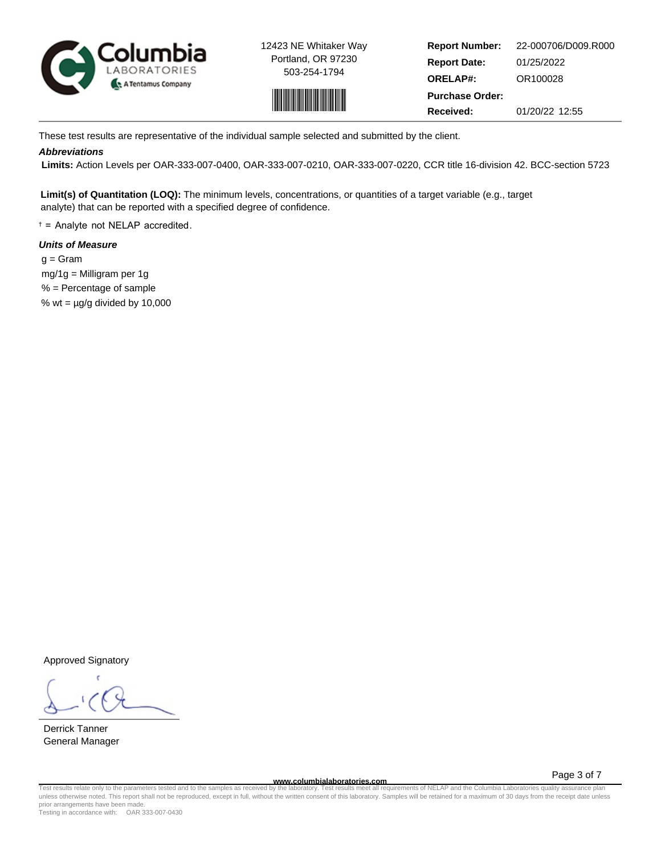



**Report Number: Report Date: ORELAP#:** 01/25/2022 OR100028 **Received:** 01/20/22 12:55 **Purchase Order:** 22-000706/D009.R000

These test results are representative of the individual sample selected and submitted by the client.

## **Abbreviations**

 **Limits:** Action Levels per OAR-333-007-0400, OAR-333-007-0210, OAR-333-007-0220, CCR title 16-division 42. BCC-section 5723

**Limit(s) of Quantitation (LOQ):** The minimum levels, concentrations, or quantities of a target variable (e.g., target analyte) that can be reported with a specified degree of confidence.

† = Analyte not NELAP accredited.

## **Units of Measure**

 $q = \text{Gram}$  mg/1g = Milligram per 1g % = Percentage of sample % wt =  $\mu$ g/g divided by 10,000

Approved Signatory

Derrick Tanner General Manager

**www.columbialaboratories.com**

Page 3 of 7

Test results relate only to the parameters tested and to the samples as received by the laboratory. Test results meet all requirements of NELAP and the Columbia Laboratories quality assurance plan<br>unless otherwise noted. T prior arrangements have been made.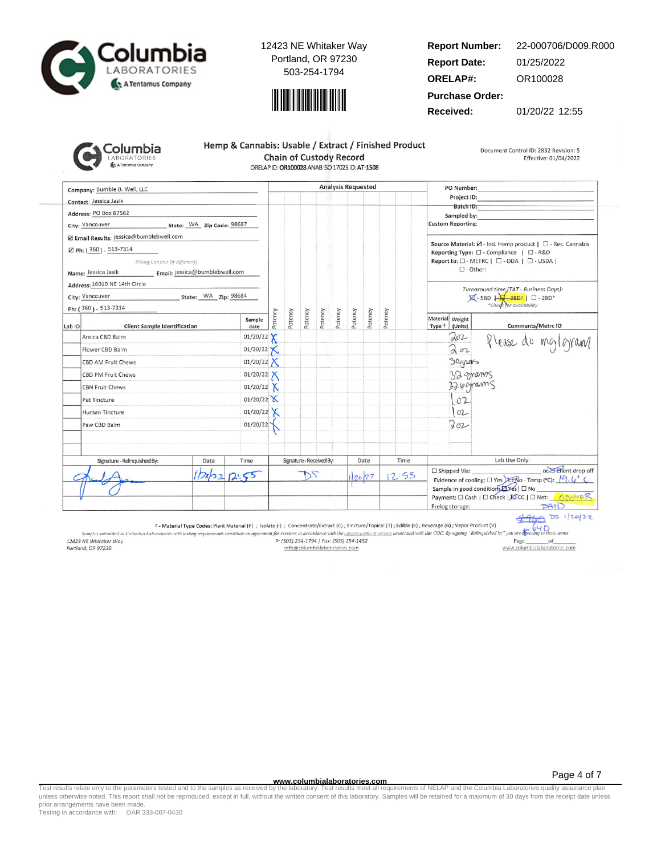



#### **Report Number: Report Date: ORELAP#:** 01/25/2022 OR100028 22-000706/D009.R000

**Purchase Order:**

**Received:** 01/20/22 12:55

| iolumbia            |
|---------------------|
| <b>LABORATORIES</b> |
| A Tentamus Company  |

| Hemp & Cannabis: Usable / Extract / Finished Product |  |  |  |  |  |  |
|------------------------------------------------------|--|--|--|--|--|--|
| <b>Chain of Custody Record</b>                       |  |  |  |  |  |  |
| ORELAP ID: OR100028 ANAB ISO 17025 ID: AT-1508       |  |  |  |  |  |  |

Document Control ID: 2832 Revision: 5 Effective: 01/04/2022

Company: Bumble B. Well, LLC **Analysis Requested** PO Number: Project ID: Contact: Jessica Jasik Batch ID: Address: PO Box 87562 Sampled by City: Vancouver State: WA Zip Code: 98687 **Custom Reporting:** Z Email Results: jessica@bumblebwell.com Source Material:  $\boxtimes$  - Ind. Hemp product |  $\Box$  - Rec. Cannabis ⊠ Ph: (360) - 513-7314 Reporting Type:  $\square$  - Compliance |  $\square$  - R&D Billing Contact (if different) Report to: □ - METRC | □ - ODA | □ - USDA |  $\square$  - Other: Name: Jessica Jasik Email: jessica@bumblebwell.com Address: 16019 NE 14th Circle Turnaround time (TAT - Business Days):<br> $\boxtimes$  - 5BD  $\downarrow$  - 3BD\*  $\parallel$   $\Box$  - 2BD\*<br>\*Check for availability State: WA Zip: 98684 City: Vancouver Ph: (360) - 513-7314 Potency Potency Potency Potency Potency Potency Potency Potency Material Weight Sample Comments/Metrc ID Lab ID **Client Sample Identification** date Type <sup>+</sup> (Units) 01/20/22  $202$ Arnica CBD Balm Please do mg/gram  $202$  $01/20/22$ Flower CBD Balm Х 01/20/22  $X$ 30grants CBD AM Fruit Chews  $01/20/22$ 32 grams CBD PM Fruit Chews 32.6 grams **CBN Fruit Chews** 01/20/22  $X$  $01/20/22$  $102$ Pet Tincture 01/20/22  $X$  $102$ Human Tincture Paw CBD Balm 01/20/22 Toz Signature - Relinquished By: Date Time Signature - Received By: Date Time Lab Use Only: or Elient drop off □ Shipped Via:  $12:55$  $2022$ DS  $12.55$ 20/22 Evidence of cooling:  $\square$  Yes  $\square$   $\overline{\text{R}}$  O - Temp (°C):  $\sqrt{9}$ ,  $\sqrt{9}$ Sample in good condition *LYes* | □ No Payment: □ Cash | □ Check | EDCC | □ Net: 62040 R  $PAID$ Prelog storage:

 $4960$  Ds 1/20/22  $640$ 

† - Material Type Codes: Plant Material (P) ; Isolate (i) ; Concentrate/Extract (C); Tincture/Topical (T); Edible (E); Beverage (B); Vapor Product (V)

Samples submitted to Columbia Laboratories with testing requirements constitute an agreement for services in accordance with the current terms of service associated with this COC. By signing "Relinquished by" you are the 12423 NE Whitaker Way P: (503) 254-1794 | Fax: (503) 254-1452 Page of www.columbialaboratories.com Portland, OR 97230 info@columbialaboratories.com

**www.columbialaboratories.com**

Test results relate only to the parameters tested and to the samples as received by the laboratory. Test results meet all requirements of NELAP and the Columbia Laboratories quality assurance plan<br>unless otherwise noted. T prior arrangements have been made.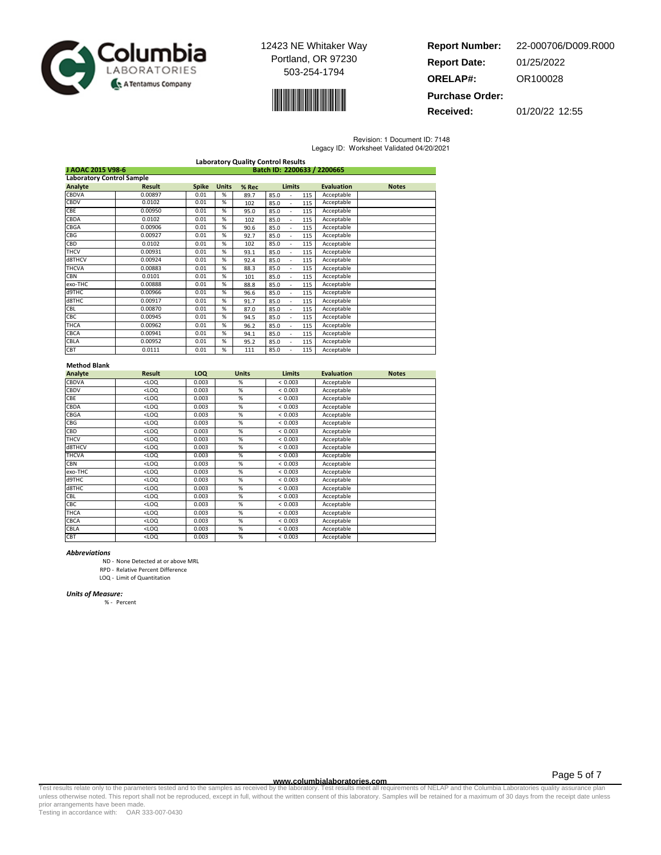



**Report Number: Report Date: ORELAP#:** 01/25/2022 OR100028 **Purchase Order:** 22-000706/D009.R000

**Received:** 01/20/22 12:55

Revision: 1 Document ID: 7148

|  | Legacy ID: Worksheet Validated 04/20/2021 |
|--|-------------------------------------------|
|  |                                           |

| <b>Laboratory Quality Control Results</b>        |               |              |              |       |                                  |     |                   |              |
|--------------------------------------------------|---------------|--------------|--------------|-------|----------------------------------|-----|-------------------|--------------|
| Batch ID: 2200633 / 2200665<br>J AOAC 2015 V98-6 |               |              |              |       |                                  |     |                   |              |
| <b>Laboratory Control Sample</b>                 |               |              |              |       |                                  |     |                   |              |
| Analyte                                          | <b>Result</b> | <b>Spike</b> | <b>Units</b> | % Rec | <b>Limits</b>                    |     | <b>Evaluation</b> | <b>Notes</b> |
| <b>CBDVA</b>                                     | 0.00897       | 0.01         | %            | 89.7  | 85.0                             | 115 | Acceptable        |              |
| <b>CBDV</b>                                      | 0.0102        | 0.01         | %            | 102   | 85.0                             | 115 | Acceptable        |              |
| CBE                                              | 0.00950       | 0.01         | %            | 95.0  | 85.0                             | 115 | Acceptable        |              |
| CBDA                                             | 0.0102        | 0.01         | %            | 102   | 85.0<br>$\overline{\phantom{a}}$ | 115 | Acceptable        |              |
| CBGA                                             | 0.00906       | 0.01         | %            | 90.6  | 85.0<br>÷.                       | 115 | Acceptable        |              |
| <b>CBG</b>                                       | 0.00927       | 0.01         | %            | 92.7  | 85.0<br>$\overline{\phantom{a}}$ | 115 | Acceptable        |              |
| <b>CBD</b>                                       | 0.0102        | 0.01         | %            | 102   | 85.0<br>$\overline{\phantom{a}}$ | 115 | Acceptable        |              |
| <b>THCV</b>                                      | 0.00931       | 0.01         | %            | 93.1  | 85.0<br>$\overline{\phantom{a}}$ | 115 | Acceptable        |              |
| d8THCV                                           | 0.00924       | 0.01         | %            | 92.4  | 85.0                             | 115 | Acceptable        |              |
| <b>THCVA</b>                                     | 0.00883       | 0.01         | %            | 88.3  | 85.0                             | 115 | Acceptable        |              |
| <b>CBN</b>                                       | 0.0101        | 0.01         | %            | 101   | 85.0<br>÷.                       | 115 | Acceptable        |              |
| exo-THC                                          | 0.00888       | 0.01         | %            | 88.8  | 85.0                             | 115 | Acceptable        |              |
| d9THC                                            | 0.00966       | 0.01         | %            | 96.6  | 85.0                             | 115 | Acceptable        |              |
| d8THC                                            | 0.00917       | 0.01         | %            | 91.7  | 85.0                             | 115 | Acceptable        |              |
| <b>CBL</b>                                       | 0.00870       | 0.01         | %            | 87.0  | 85.0                             | 115 | Acceptable        |              |
| CBC                                              | 0.00945       | 0.01         | %            | 94.5  | 85.0                             | 115 | Acceptable        |              |
| THCA                                             | 0.00962       | 0.01         | %            | 96.2  | 85.0                             | 115 | Acceptable        |              |
| <b>CBCA</b>                                      | 0.00941       | 0.01         | %            | 94.1  | 85.0<br>$\overline{\phantom{a}}$ | 115 | Acceptable        |              |
| CBLA                                             | 0.00952       | 0.01         | %            | 95.2  | 85.0                             | 115 | Acceptable        |              |
| CBT                                              | 0.0111        | 0.01         | %            | 111   | 85.0                             | 115 | Acceptable        |              |

### Method Blank

| Analyte      | <b>Result</b> | LOQ   | <b>Units</b> | <b>Limits</b> | <b>Evaluation</b> | <b>Notes</b> |
|--------------|---------------|-------|--------------|---------------|-------------------|--------------|
| CBDVA        | $<$ LOQ       | 0.003 | %            | < 0.003       | Acceptable        |              |
| CBDV         | $<$ LOQ       | 0.003 | %            | < 0.003       | Acceptable        |              |
| CBE          | $<$ LOQ       | 0.003 | %            | < 0.003       | Acceptable        |              |
| CBDA         | $<$ LOQ       | 0.003 | %            | < 0.003       | Acceptable        |              |
| CBGA         | $<$ LOQ       | 0.003 | %            | < 0.003       | Acceptable        |              |
| CBG          | $<$ LOQ       | 0.003 | %            | < 0.003       | Acceptable        |              |
| CBD          | $<$ LOQ       | 0.003 | %            | < 0.003       | Acceptable        |              |
| <b>THCV</b>  | $<$ LOQ       | 0.003 | %            | < 0.003       | Acceptable        |              |
| d8THCV       | $<$ LOQ       | 0.003 | %            | < 0.003       | Acceptable        |              |
| <b>THCVA</b> | $<$ LOQ       | 0.003 | %            | < 0.003       | Acceptable        |              |
| CBN          | $<$ LOQ       | 0.003 | %            | < 0.003       | Acceptable        |              |
| exo-THC      | $<$ LOQ       | 0.003 | %            | < 0.003       | Acceptable        |              |
| d9THC        | $<$ LOQ       | 0.003 | %            | < 0.003       | Acceptable        |              |
| d8THC        | $<$ LOQ       | 0.003 | %            | < 0.003       | Acceptable        |              |
| CBL          | $<$ LOQ       | 0.003 | %            | < 0.003       | Acceptable        |              |
| CBC          | $<$ LOQ       | 0.003 | %            | < 0.003       | Acceptable        |              |
| THCA         | $<$ LOQ       | 0.003 | %            | < 0.003       | Acceptable        |              |
| CBCA         | $<$ LOQ       | 0.003 | %            | < 0.003       | Acceptable        |              |
| CBLA         | $<$ LOQ       | 0.003 | %            | < 0.003       | Acceptable        |              |
| CBT          | $<$ LOQ       | 0.003 | %            | < 0.003       | Acceptable        |              |

#### Abbreviations

ND - None Detected at or above MRL

RPD - Relative Percent Difference

LOQ - Limit of Quantitation

#### Units of Measure:

% - Percent

Page 5 of 7

www.columbialaboratories.com<br>Test results relate only to the parameters tested and to the samples as received by the laboratories metall requirements of NELAP and the Columbia Laboratories quality assurance plan<br>unless oth prior arrangements have been made.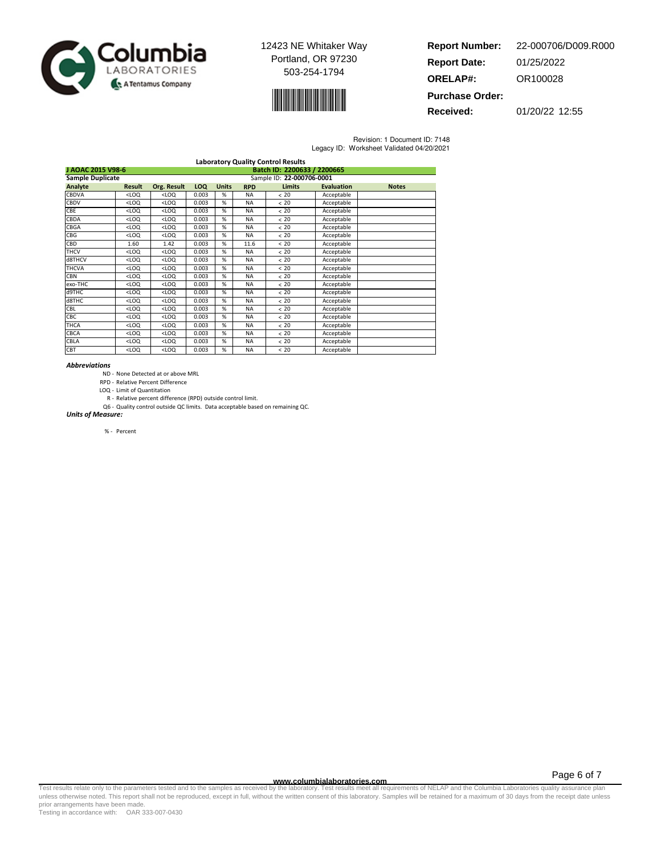



| <b>Report Number:</b>  | 22-000706/D009.R000 |
|------------------------|---------------------|
| <b>Report Date:</b>    | 01/25/2022          |
| <b>ORELAP#:</b>        | OR100028            |
| <b>Purchase Order:</b> |                     |

**Received:** 01/20/22 12:55

Revision: 1 Document ID: 7148 Legacy ID: Worksheet Validated 04/20/2021

|                                                  |         |                                                                                                               |       |   |           | <b>Laboratory Quality Control Results</b> |            |  |  |  |
|--------------------------------------------------|---------|---------------------------------------------------------------------------------------------------------------|-------|---|-----------|-------------------------------------------|------------|--|--|--|
| Batch ID: 2200633 / 2200665<br>J AOAC 2015 V98-6 |         |                                                                                                               |       |   |           |                                           |            |  |  |  |
| <b>Sample Duplicate</b>                          |         | Sample ID: 22-000706-0001                                                                                     |       |   |           |                                           |            |  |  |  |
| Analyte                                          | Result  | <b>Limits</b><br><b>Evaluation</b><br>Org. Result<br><b>LOQ</b><br><b>Units</b><br><b>Notes</b><br><b>RPD</b> |       |   |           |                                           |            |  |  |  |
| <b>CBDVA</b>                                     | $<$ LOQ | $<$ LOQ                                                                                                       | 0.003 | % | <b>NA</b> | < 20                                      | Acceptable |  |  |  |
| <b>CBDV</b>                                      | $<$ LOQ | $<$ LOQ                                                                                                       | 0.003 | % | <b>NA</b> | < 20                                      | Acceptable |  |  |  |
| CBE                                              | $<$ LOQ | $<$ LOQ                                                                                                       | 0.003 | % | <b>NA</b> | < 20                                      | Acceptable |  |  |  |
| CBDA                                             | $<$ LOQ | $<$ LOQ                                                                                                       | 0.003 | % | <b>NA</b> | < 20                                      | Acceptable |  |  |  |
| CBGA                                             | $<$ LOQ | $<$ LOQ                                                                                                       | 0.003 | % | <b>NA</b> | < 20                                      | Acceptable |  |  |  |
| CBG                                              | $<$ LOQ | $<$ LOQ                                                                                                       | 0.003 | % | <b>NA</b> | < 20                                      | Acceptable |  |  |  |
| <b>CBD</b>                                       | 1.60    | 1.42                                                                                                          | 0.003 | % | 11.6      | < 20                                      | Acceptable |  |  |  |
| <b>THCV</b>                                      | $<$ LOQ | $<$ LOQ                                                                                                       | 0.003 | % | <b>NA</b> | < 20                                      | Acceptable |  |  |  |
| d8THCV                                           | $<$ LOQ | $<$ LOQ                                                                                                       | 0.003 | % | <b>NA</b> | < 20                                      | Acceptable |  |  |  |
| <b>THCVA</b>                                     | $<$ LOQ | $<$ LOQ                                                                                                       | 0.003 | % | <b>NA</b> | < 20                                      | Acceptable |  |  |  |
| <b>CBN</b>                                       | $<$ LOQ | $<$ LOQ                                                                                                       | 0.003 | % | <b>NA</b> | < 20                                      | Acceptable |  |  |  |
| exo-THC                                          | $<$ LOQ | $<$ LOQ                                                                                                       | 0.003 | % | <b>NA</b> | < 20                                      | Acceptable |  |  |  |
| d9THC                                            | $<$ LOQ | $<$ LOQ                                                                                                       | 0.003 | % | <b>NA</b> | < 20                                      | Acceptable |  |  |  |
| d8THC                                            | $<$ LOQ | $<$ LOQ                                                                                                       | 0.003 | % | <b>NA</b> | < 20                                      | Acceptable |  |  |  |
| CBL                                              | $<$ LOQ | <loq< td=""><td>0.003</td><td>%</td><td><b>NA</b></td><td>&lt; 20</td><td>Acceptable</td><td></td></loq<>     | 0.003 | % | <b>NA</b> | < 20                                      | Acceptable |  |  |  |
| CBC                                              | $<$ LOQ | <loq< td=""><td>0.003</td><td>%</td><td><b>NA</b></td><td>&lt; 20</td><td>Acceptable</td><td></td></loq<>     | 0.003 | % | <b>NA</b> | < 20                                      | Acceptable |  |  |  |
| <b>THCA</b>                                      | $<$ LOQ | <loq< td=""><td>0.003</td><td>%</td><td><b>NA</b></td><td>&lt; 20</td><td>Acceptable</td><td></td></loq<>     | 0.003 | % | <b>NA</b> | < 20                                      | Acceptable |  |  |  |
| <b>CBCA</b>                                      | $<$ LOQ | $<$ LOQ                                                                                                       | 0.003 | % | <b>NA</b> | < 20                                      | Acceptable |  |  |  |
| CBLA                                             | $<$ LOQ | $<$ LOQ                                                                                                       | 0.003 | % | <b>NA</b> | < 20                                      | Acceptable |  |  |  |
| <b>CBT</b>                                       | $<$ LOQ | $<$ LOQ                                                                                                       | 0.003 | % | <b>NA</b> | < 20                                      | Acceptable |  |  |  |

#### Abbreviations

- ND None Detected at or above MRL
- RPD Relative Percent Difference
- LOQ Limit of Quantitation
- R Relative percent difference (RPD) outside control limit.
- Q6 Quality control outside QC limits. Data acceptable based on remaining QC. Units of Measure:

% - Percent

Page 6 of 7

www.columbialaboratories.com<br>Test results relate only to the parameters tested and to the samples as received by the laboratories metall requirements of NELAP and the Columbia Laboratories quality assurance plan<br>unless oth prior arrangements have been made.